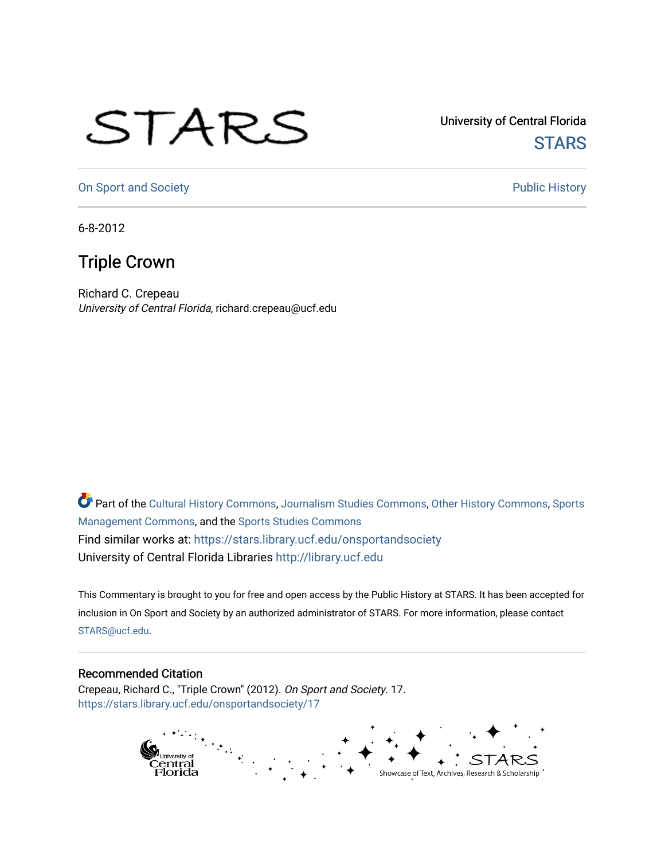## STARS

University of Central Florida **STARS** 

[On Sport and Society](https://stars.library.ucf.edu/onsportandsociety) **Public History** Public History

6-8-2012

## Triple Crown

Richard C. Crepeau University of Central Florida, richard.crepeau@ucf.edu

Part of the [Cultural History Commons](http://network.bepress.com/hgg/discipline/496?utm_source=stars.library.ucf.edu%2Fonsportandsociety%2F17&utm_medium=PDF&utm_campaign=PDFCoverPages), [Journalism Studies Commons,](http://network.bepress.com/hgg/discipline/333?utm_source=stars.library.ucf.edu%2Fonsportandsociety%2F17&utm_medium=PDF&utm_campaign=PDFCoverPages) [Other History Commons,](http://network.bepress.com/hgg/discipline/508?utm_source=stars.library.ucf.edu%2Fonsportandsociety%2F17&utm_medium=PDF&utm_campaign=PDFCoverPages) [Sports](http://network.bepress.com/hgg/discipline/1193?utm_source=stars.library.ucf.edu%2Fonsportandsociety%2F17&utm_medium=PDF&utm_campaign=PDFCoverPages) [Management Commons](http://network.bepress.com/hgg/discipline/1193?utm_source=stars.library.ucf.edu%2Fonsportandsociety%2F17&utm_medium=PDF&utm_campaign=PDFCoverPages), and the [Sports Studies Commons](http://network.bepress.com/hgg/discipline/1198?utm_source=stars.library.ucf.edu%2Fonsportandsociety%2F17&utm_medium=PDF&utm_campaign=PDFCoverPages) Find similar works at: <https://stars.library.ucf.edu/onsportandsociety> University of Central Florida Libraries [http://library.ucf.edu](http://library.ucf.edu/) 

This Commentary is brought to you for free and open access by the Public History at STARS. It has been accepted for inclusion in On Sport and Society by an authorized administrator of STARS. For more information, please contact [STARS@ucf.edu](mailto:STARS@ucf.edu).

## Recommended Citation

Crepeau, Richard C., "Triple Crown" (2012). On Sport and Society. 17. [https://stars.library.ucf.edu/onsportandsociety/17](https://stars.library.ucf.edu/onsportandsociety/17?utm_source=stars.library.ucf.edu%2Fonsportandsociety%2F17&utm_medium=PDF&utm_campaign=PDFCoverPages) 

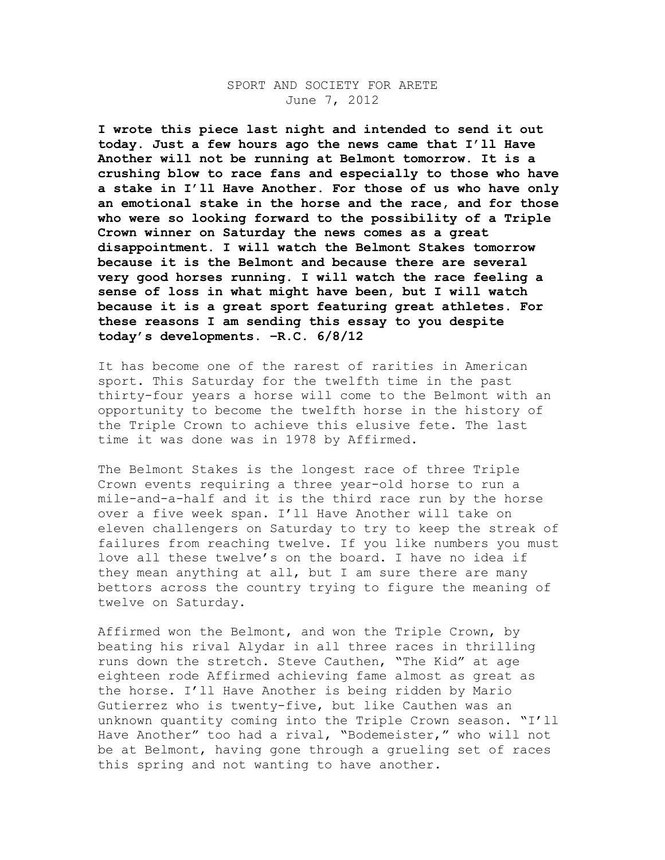## SPORT AND SOCIETY FOR ARETE June 7, 2012

**I wrote this piece last night and intended to send it out today. Just a few hours ago the news came that I'll Have Another will not be running at Belmont tomorrow. It is a crushing blow to race fans and especially to those who have a stake in I'll Have Another. For those of us who have only an emotional stake in the horse and the race, and for those who were so looking forward to the possibility of a Triple Crown winner on Saturday the news comes as a great disappointment. I will watch the Belmont Stakes tomorrow because it is the Belmont and because there are several very good horses running. I will watch the race feeling a sense of loss in what might have been, but I will watch because it is a great sport featuring great athletes. For these reasons I am sending this essay to you despite today's developments. –R.C. 6/8/12**

It has become one of the rarest of rarities in American sport. This Saturday for the twelfth time in the past thirty-four years a horse will come to the Belmont with an opportunity to become the twelfth horse in the history of the Triple Crown to achieve this elusive fete. The last time it was done was in 1978 by Affirmed.

The Belmont Stakes is the longest race of three Triple Crown events requiring a three year-old horse to run a mile-and-a-half and it is the third race run by the horse over a five week span. I'll Have Another will take on eleven challengers on Saturday to try to keep the streak of failures from reaching twelve. If you like numbers you must love all these twelve's on the board. I have no idea if they mean anything at all, but I am sure there are many bettors across the country trying to figure the meaning of twelve on Saturday.

Affirmed won the Belmont, and won the Triple Crown, by beating his rival Alydar in all three races in thrilling runs down the stretch. Steve Cauthen, "The Kid" at age eighteen rode Affirmed achieving fame almost as great as the horse. I'll Have Another is being ridden by Mario Gutierrez who is twenty-five, but like Cauthen was an unknown quantity coming into the Triple Crown season. "I'll Have Another" too had a rival, "Bodemeister," who will not be at Belmont, having gone through a grueling set of races this spring and not wanting to have another.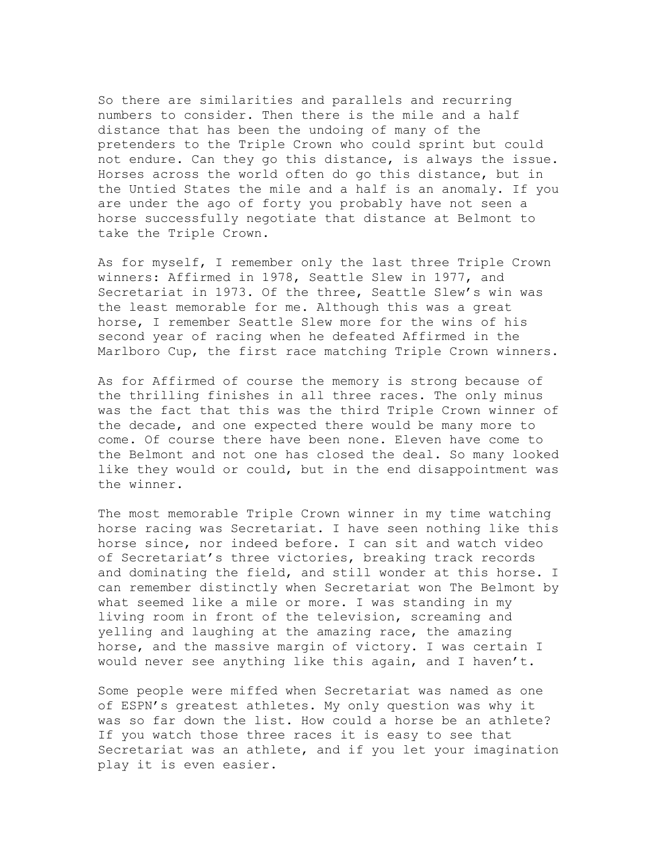So there are similarities and parallels and recurring numbers to consider. Then there is the mile and a half distance that has been the undoing of many of the pretenders to the Triple Crown who could sprint but could not endure. Can they go this distance, is always the issue. Horses across the world often do go this distance, but in the Untied States the mile and a half is an anomaly. If you are under the ago of forty you probably have not seen a horse successfully negotiate that distance at Belmont to take the Triple Crown.

As for myself, I remember only the last three Triple Crown winners: Affirmed in 1978, Seattle Slew in 1977, and Secretariat in 1973. Of the three, Seattle Slew's win was the least memorable for me. Although this was a great horse, I remember Seattle Slew more for the wins of his second year of racing when he defeated Affirmed in the Marlboro Cup, the first race matching Triple Crown winners.

As for Affirmed of course the memory is strong because of the thrilling finishes in all three races. The only minus was the fact that this was the third Triple Crown winner of the decade, and one expected there would be many more to come. Of course there have been none. Eleven have come to the Belmont and not one has closed the deal. So many looked like they would or could, but in the end disappointment was the winner.

The most memorable Triple Crown winner in my time watching horse racing was Secretariat. I have seen nothing like this horse since, nor indeed before. I can sit and watch video of Secretariat's three victories, breaking track records and dominating the field, and still wonder at this horse. I can remember distinctly when Secretariat won The Belmont by what seemed like a mile or more. I was standing in my living room in front of the television, screaming and yelling and laughing at the amazing race, the amazing horse, and the massive margin of victory. I was certain I would never see anything like this again, and I haven't.

Some people were miffed when Secretariat was named as one of ESPN's greatest athletes. My only question was why it was so far down the list. How could a horse be an athlete? If you watch those three races it is easy to see that Secretariat was an athlete, and if you let your imagination play it is even easier.